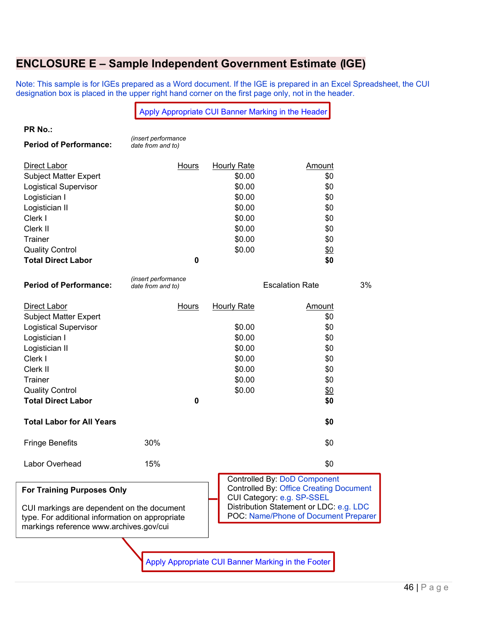## **ENCLOSURE E – Sample Independent Government Estimate (IGE)**

Note: This sample is for IGEs prepared as a Word document. If the IGE is prepared in an Excel Spreadsheet, the CUI designation box is placed in the upper right hand corner on the first page only, not in the header.

|                                                                                                                                          | Apply Appropriate CUI Banner Marking in the Header |                                                                                                                     |                        |    |  |
|------------------------------------------------------------------------------------------------------------------------------------------|----------------------------------------------------|---------------------------------------------------------------------------------------------------------------------|------------------------|----|--|
| PR No.:                                                                                                                                  |                                                    |                                                                                                                     |                        |    |  |
| <b>Period of Performance:</b>                                                                                                            | (insert performance<br>date from and to)           |                                                                                                                     |                        |    |  |
| Direct Labor                                                                                                                             | Hours                                              | <b>Hourly Rate</b>                                                                                                  | Amount                 |    |  |
| <b>Subject Matter Expert</b>                                                                                                             |                                                    | \$0.00                                                                                                              | \$0                    |    |  |
| <b>Logistical Supervisor</b>                                                                                                             |                                                    | \$0.00                                                                                                              | \$0                    |    |  |
| Logistician I                                                                                                                            |                                                    | \$0.00                                                                                                              | \$0                    |    |  |
| Logistician II                                                                                                                           |                                                    | \$0.00                                                                                                              | \$0                    |    |  |
| Clerk I                                                                                                                                  |                                                    | \$0.00                                                                                                              | \$0                    |    |  |
| Clerk II                                                                                                                                 |                                                    | \$0.00                                                                                                              | \$0                    |    |  |
| <b>Trainer</b>                                                                                                                           |                                                    | \$0.00                                                                                                              | \$0                    |    |  |
| <b>Quality Control</b>                                                                                                                   |                                                    | \$0.00                                                                                                              | \$0                    |    |  |
| <b>Total Direct Labor</b>                                                                                                                | 0                                                  |                                                                                                                     | \$0                    |    |  |
| <b>Period of Performance:</b>                                                                                                            | (insert performance<br>date from and to)           |                                                                                                                     | <b>Escalation Rate</b> | 3% |  |
| Direct Labor                                                                                                                             | <u>Hours</u>                                       | <b>Hourly Rate</b>                                                                                                  | <u>Amount</u>          |    |  |
| <b>Subject Matter Expert</b>                                                                                                             |                                                    |                                                                                                                     | \$0                    |    |  |
| <b>Logistical Supervisor</b>                                                                                                             |                                                    | \$0.00                                                                                                              | \$0                    |    |  |
| Logistician I                                                                                                                            |                                                    | \$0.00                                                                                                              | \$0                    |    |  |
| Logistician II                                                                                                                           |                                                    | \$0.00                                                                                                              | \$0                    |    |  |
| Clerk I                                                                                                                                  |                                                    | \$0.00                                                                                                              | \$0                    |    |  |
| Clerk II                                                                                                                                 |                                                    | \$0.00                                                                                                              | \$0                    |    |  |
| <b>Trainer</b>                                                                                                                           |                                                    | \$0.00                                                                                                              | \$0                    |    |  |
| <b>Quality Control</b>                                                                                                                   |                                                    | \$0.00                                                                                                              | $\frac{60}{20}$        |    |  |
| <b>Total Direct Labor</b>                                                                                                                | $\mathbf 0$                                        |                                                                                                                     | \$0                    |    |  |
| <b>Total Labor for All Years</b>                                                                                                         |                                                    |                                                                                                                     | \$0                    |    |  |
| <b>Fringe Benefits</b>                                                                                                                   | 30%                                                |                                                                                                                     | \$0                    |    |  |
| Labor Overhead                                                                                                                           | 15%                                                |                                                                                                                     | \$0                    |    |  |
| <b>For Training Purposes Only</b>                                                                                                        |                                                    | <b>Controlled By: DoD Component</b><br><b>Controlled By: Office Creating Document</b><br>CUI Category: e.g. SP-SSEL |                        |    |  |
| CUI markings are dependent on the document<br>type. For additional information on appropriate<br>markings reference www.archives.gov/cui |                                                    | Distribution Statement or LDC: e.g. LDC<br>POC: Name/Phone of Document Preparer                                     |                        |    |  |
|                                                                                                                                          |                                                    |                                                                                                                     |                        |    |  |
|                                                                                                                                          |                                                    |                                                                                                                     |                        |    |  |
| Apply Appropriate CUI Banner Marking in the Footer                                                                                       |                                                    |                                                                                                                     |                        |    |  |
|                                                                                                                                          |                                                    |                                                                                                                     |                        |    |  |